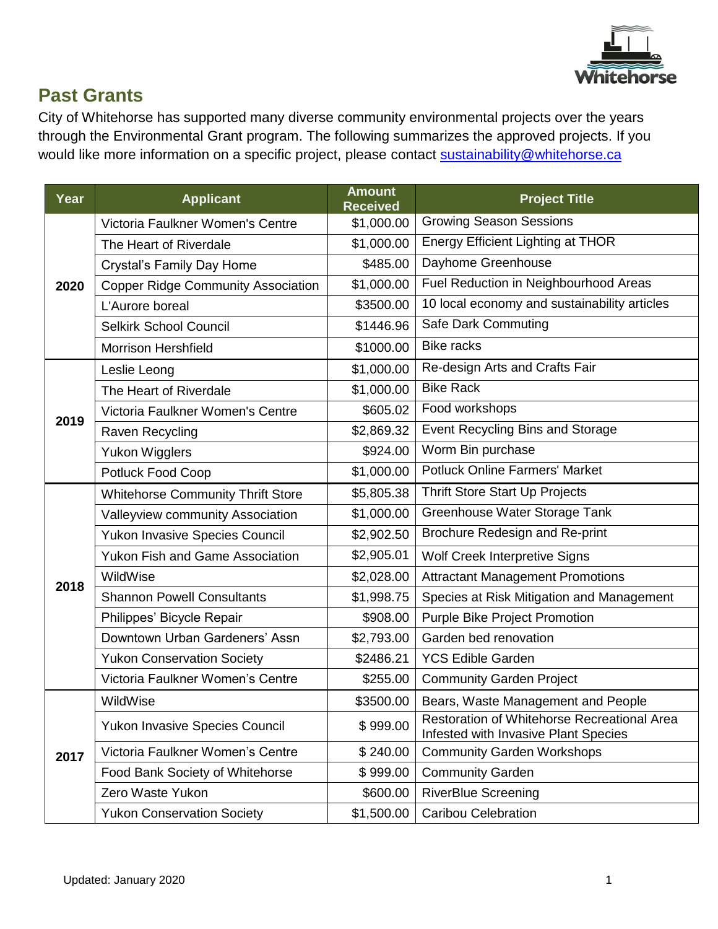

## **Past Grants**

City of Whitehorse has supported many diverse community environmental projects over the years through the Environmental Grant program. The following summarizes the approved projects. If you would like more information on a specific project, please contact [sustainability@whitehorse.ca](mailto:sustainability@whitehorse.ca)

| Year | <b>Applicant</b>                          | <b>Amount</b><br><b>Received</b> | <b>Project Title</b>                                                                |
|------|-------------------------------------------|----------------------------------|-------------------------------------------------------------------------------------|
| 2020 | Victoria Faulkner Women's Centre          | \$1,000.00                       | <b>Growing Season Sessions</b>                                                      |
|      | The Heart of Riverdale                    | \$1,000.00                       | Energy Efficient Lighting at THOR                                                   |
|      | <b>Crystal's Family Day Home</b>          | \$485.00                         | Dayhome Greenhouse                                                                  |
|      | <b>Copper Ridge Community Association</b> | \$1,000.00                       | Fuel Reduction in Neighbourhood Areas                                               |
|      | L'Aurore boreal                           | \$3500.00                        | 10 local economy and sustainability articles                                        |
|      | <b>Selkirk School Council</b>             | \$1446.96                        | Safe Dark Commuting                                                                 |
|      | <b>Morrison Hershfield</b>                | \$1000.00                        | <b>Bike racks</b>                                                                   |
|      | Leslie Leong                              | \$1,000.00                       | Re-design Arts and Crafts Fair                                                      |
|      | The Heart of Riverdale                    | \$1,000.00                       | <b>Bike Rack</b>                                                                    |
|      | Victoria Faulkner Women's Centre          | \$605.02                         | Food workshops                                                                      |
| 2019 | Raven Recycling                           | \$2,869.32                       | Event Recycling Bins and Storage                                                    |
|      | <b>Yukon Wigglers</b>                     | \$924.00                         | Worm Bin purchase                                                                   |
|      | Potluck Food Coop                         | \$1,000.00                       | <b>Potluck Online Farmers' Market</b>                                               |
|      | <b>Whitehorse Community Thrift Store</b>  | \$5,805.38                       | Thrift Store Start Up Projects                                                      |
|      | Valleyview community Association          | \$1,000.00                       | Greenhouse Water Storage Tank                                                       |
|      | <b>Yukon Invasive Species Council</b>     | \$2,902.50                       | Brochure Redesign and Re-print                                                      |
|      | <b>Yukon Fish and Game Association</b>    | \$2,905.01                       | Wolf Creek Interpretive Signs                                                       |
| 2018 | WildWise                                  | \$2,028.00                       | <b>Attractant Management Promotions</b>                                             |
|      | <b>Shannon Powell Consultants</b>         | \$1,998.75                       | Species at Risk Mitigation and Management                                           |
|      | Philippes' Bicycle Repair                 | \$908.00                         | Purple Bike Project Promotion                                                       |
|      | Downtown Urban Gardeners' Assn            | \$2,793.00                       | Garden bed renovation                                                               |
|      | <b>Yukon Conservation Society</b>         | \$2486.21                        | <b>YCS Edible Garden</b>                                                            |
|      | Victoria Faulkner Women's Centre          | \$255.00                         | <b>Community Garden Project</b>                                                     |
|      | WildWise                                  | \$3500.00                        | Bears, Waste Management and People                                                  |
| 2017 | Yukon Invasive Species Council            | \$999.00                         | Restoration of Whitehorse Recreational Area<br>Infested with Invasive Plant Species |
|      | Victoria Faulkner Women's Centre          | \$240.00                         | <b>Community Garden Workshops</b>                                                   |
|      | Food Bank Society of Whitehorse           | \$999.00                         | <b>Community Garden</b>                                                             |
|      | Zero Waste Yukon                          | \$600.00                         | <b>RiverBlue Screening</b>                                                          |
|      | <b>Yukon Conservation Society</b>         | \$1,500.00                       | <b>Caribou Celebration</b>                                                          |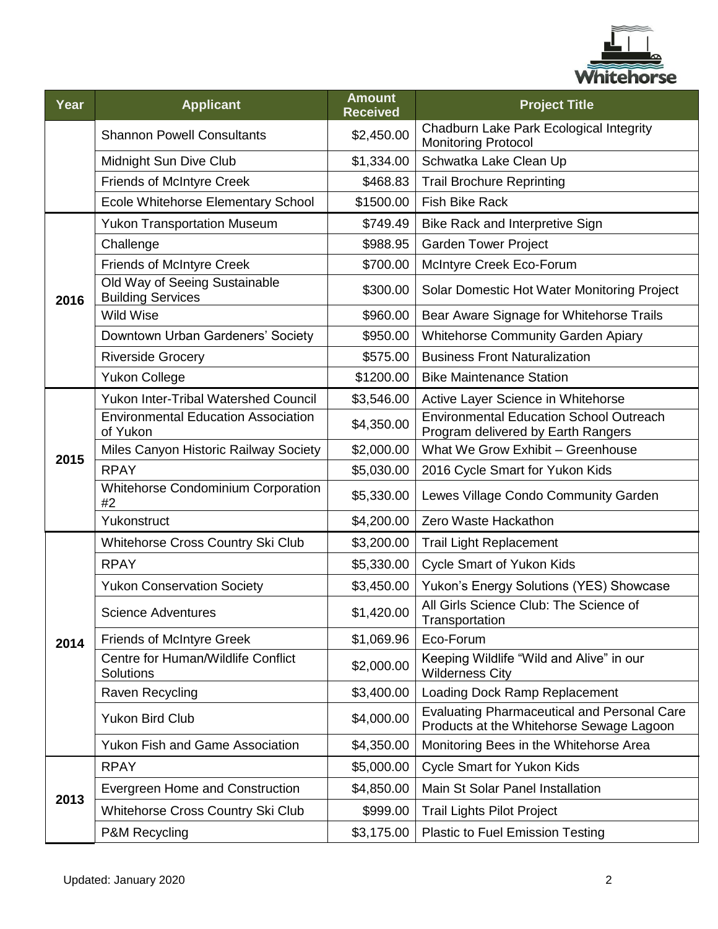

| Year | <b>Applicant</b>                                          | <b>Amount</b><br><b>Received</b> | <b>Project Title</b>                                                                           |
|------|-----------------------------------------------------------|----------------------------------|------------------------------------------------------------------------------------------------|
|      | <b>Shannon Powell Consultants</b>                         | \$2,450.00                       | Chadburn Lake Park Ecological Integrity<br><b>Monitoring Protocol</b>                          |
|      | Midnight Sun Dive Club                                    | \$1,334.00                       | Schwatka Lake Clean Up                                                                         |
|      | <b>Friends of McIntyre Creek</b>                          | \$468.83                         | <b>Trail Brochure Reprinting</b>                                                               |
|      | Ecole Whitehorse Elementary School                        | \$1500.00                        | <b>Fish Bike Rack</b>                                                                          |
| 2016 | <b>Yukon Transportation Museum</b>                        | \$749.49                         | Bike Rack and Interpretive Sign                                                                |
|      | Challenge                                                 | \$988.95                         | <b>Garden Tower Project</b>                                                                    |
|      | <b>Friends of McIntyre Creek</b>                          | \$700.00                         | McIntyre Creek Eco-Forum                                                                       |
|      | Old Way of Seeing Sustainable<br><b>Building Services</b> | \$300.00                         | Solar Domestic Hot Water Monitoring Project                                                    |
|      | <b>Wild Wise</b>                                          | \$960.00                         | Bear Aware Signage for Whitehorse Trails                                                       |
|      | Downtown Urban Gardeners' Society                         | \$950.00                         | <b>Whitehorse Community Garden Apiary</b>                                                      |
|      | <b>Riverside Grocery</b>                                  | \$575.00                         | <b>Business Front Naturalization</b>                                                           |
|      | <b>Yukon College</b>                                      | \$1200.00                        | <b>Bike Maintenance Station</b>                                                                |
|      | <b>Yukon Inter-Tribal Watershed Council</b>               | \$3,546.00                       | Active Layer Science in Whitehorse                                                             |
| 2015 | <b>Environmental Education Association</b><br>of Yukon    | \$4,350.00                       | <b>Environmental Education School Outreach</b><br>Program delivered by Earth Rangers           |
|      | Miles Canyon Historic Railway Society                     | \$2,000.00                       | What We Grow Exhibit - Greenhouse                                                              |
|      | <b>RPAY</b>                                               | \$5,030.00                       | 2016 Cycle Smart for Yukon Kids                                                                |
|      | Whitehorse Condominium Corporation<br>#2                  | \$5,330.00                       | Lewes Village Condo Community Garden                                                           |
|      | Yukonstruct                                               | \$4,200.00                       | Zero Waste Hackathon                                                                           |
|      | Whitehorse Cross Country Ski Club                         | \$3,200.00                       | <b>Trail Light Replacement</b>                                                                 |
|      | <b>RPAY</b>                                               | \$5,330.00                       | <b>Cycle Smart of Yukon Kids</b>                                                               |
|      | <b>Yukon Conservation Society</b>                         | \$3,450.00                       | Yukon's Energy Solutions (YES) Showcase                                                        |
|      | Science Adventures                                        | \$1,420.00                       | All Girls Science Club: The Science of<br>Transportation                                       |
| 2014 | <b>Friends of McIntyre Greek</b>                          | \$1,069.96                       | Eco-Forum                                                                                      |
|      | Centre for Human/Wildlife Conflict<br>Solutions           | \$2,000.00                       | Keeping Wildlife "Wild and Alive" in our<br><b>Wilderness City</b>                             |
|      | Raven Recycling                                           | \$3,400.00                       | Loading Dock Ramp Replacement                                                                  |
|      | <b>Yukon Bird Club</b>                                    | \$4,000.00                       | <b>Evaluating Pharmaceutical and Personal Care</b><br>Products at the Whitehorse Sewage Lagoon |
|      | <b>Yukon Fish and Game Association</b>                    | \$4,350.00                       | Monitoring Bees in the Whitehorse Area                                                         |
|      | <b>RPAY</b>                                               | \$5,000.00                       | <b>Cycle Smart for Yukon Kids</b>                                                              |
|      | Evergreen Home and Construction                           | \$4,850.00                       | Main St Solar Panel Installation                                                               |
| 2013 | Whitehorse Cross Country Ski Club                         | \$999.00                         | <b>Trail Lights Pilot Project</b>                                                              |
|      | P&M Recycling                                             | \$3,175.00                       | <b>Plastic to Fuel Emission Testing</b>                                                        |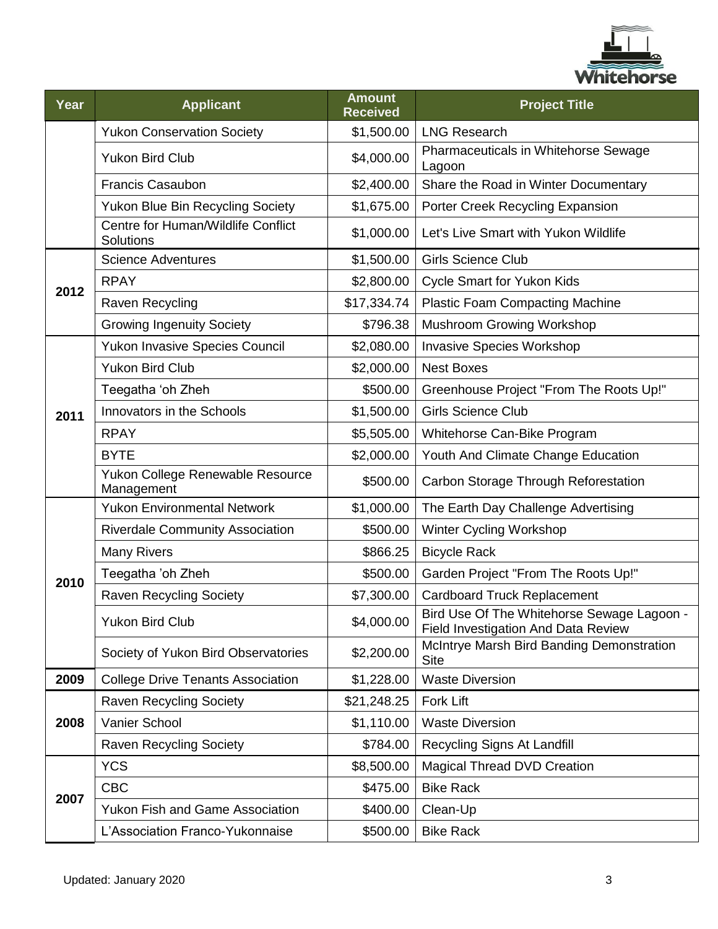

| Year | <b>Applicant</b>                                       | <b>Amount</b><br><b>Received</b> | <b>Project Title</b>                                                              |
|------|--------------------------------------------------------|----------------------------------|-----------------------------------------------------------------------------------|
|      | <b>Yukon Conservation Society</b>                      | \$1,500.00                       | <b>LNG Research</b>                                                               |
|      | <b>Yukon Bird Club</b>                                 | \$4,000.00                       | Pharmaceuticals in Whitehorse Sewage<br>Lagoon                                    |
|      | <b>Francis Casaubon</b>                                | \$2,400.00                       | Share the Road in Winter Documentary                                              |
|      | Yukon Blue Bin Recycling Society                       | \$1,675.00                       | Porter Creek Recycling Expansion                                                  |
|      | Centre for Human/Wildlife Conflict<br><b>Solutions</b> | \$1,000.00                       | Let's Live Smart with Yukon Wildlife                                              |
| 2012 | <b>Science Adventures</b>                              | \$1,500.00                       | <b>Girls Science Club</b>                                                         |
|      | <b>RPAY</b>                                            | \$2,800.00                       | <b>Cycle Smart for Yukon Kids</b>                                                 |
|      | Raven Recycling                                        | \$17,334.74                      | <b>Plastic Foam Compacting Machine</b>                                            |
|      | <b>Growing Ingenuity Society</b>                       | \$796.38                         | Mushroom Growing Workshop                                                         |
|      | <b>Yukon Invasive Species Council</b>                  | \$2,080.00                       | <b>Invasive Species Workshop</b>                                                  |
|      | <b>Yukon Bird Club</b>                                 | \$2,000.00                       | <b>Nest Boxes</b>                                                                 |
|      | Teegatha 'oh Zheh                                      | \$500.00                         | Greenhouse Project "From The Roots Up!"                                           |
| 2011 | Innovators in the Schools                              | \$1,500.00                       | <b>Girls Science Club</b>                                                         |
|      | <b>RPAY</b>                                            | \$5,505.00                       | Whitehorse Can-Bike Program                                                       |
|      | <b>BYTE</b>                                            | \$2,000.00                       | Youth And Climate Change Education                                                |
|      | Yukon College Renewable Resource<br>Management         | \$500.00                         | Carbon Storage Through Reforestation                                              |
|      | <b>Yukon Environmental Network</b>                     | \$1,000.00                       | The Earth Day Challenge Advertising                                               |
|      | <b>Riverdale Community Association</b>                 | \$500.00                         | <b>Winter Cycling Workshop</b>                                                    |
|      | <b>Many Rivers</b>                                     | \$866.25                         | <b>Bicycle Rack</b>                                                               |
| 2010 | Teegatha 'oh Zheh                                      | \$500.00                         | Garden Project "From The Roots Up!"                                               |
|      | <b>Raven Recycling Society</b>                         | \$7,300.00                       | <b>Cardboard Truck Replacement</b>                                                |
|      | Yukon Bird Club                                        | \$4,000.00                       | Bird Use Of The Whitehorse Sewage Lagoon -<br>Field Investigation And Data Review |
|      | Society of Yukon Bird Observatories                    | \$2,200.00                       | McIntrye Marsh Bird Banding Demonstration<br><b>Site</b>                          |
| 2009 | <b>College Drive Tenants Association</b>               | \$1,228.00                       | <b>Waste Diversion</b>                                                            |
| 2008 | <b>Raven Recycling Society</b>                         | \$21,248.25                      | Fork Lift                                                                         |
|      | Vanier School                                          | \$1,110.00                       | <b>Waste Diversion</b>                                                            |
|      | <b>Raven Recycling Society</b>                         | \$784.00                         | Recycling Signs At Landfill                                                       |
|      | <b>YCS</b>                                             | \$8,500.00                       | <b>Magical Thread DVD Creation</b>                                                |
| 2007 | <b>CBC</b>                                             | \$475.00                         | <b>Bike Rack</b>                                                                  |
|      | Yukon Fish and Game Association                        | \$400.00                         | Clean-Up                                                                          |
|      | L'Association Franco-Yukonnaise                        | \$500.00                         | <b>Bike Rack</b>                                                                  |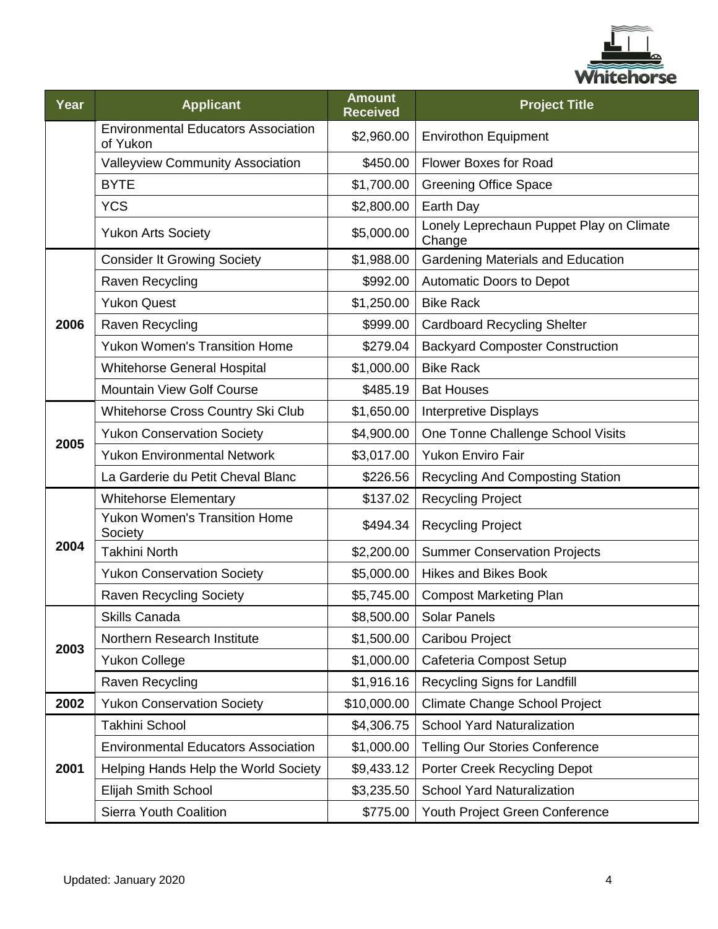

| Year | <b>Applicant</b>                                       | <b>Amount</b><br><b>Received</b> | <b>Project Title</b>                               |
|------|--------------------------------------------------------|----------------------------------|----------------------------------------------------|
|      | <b>Environmental Educators Association</b><br>of Yukon | \$2,960.00                       | <b>Envirothon Equipment</b>                        |
|      | <b>Valleyview Community Association</b>                | \$450.00                         | <b>Flower Boxes for Road</b>                       |
|      | <b>BYTE</b>                                            | \$1,700.00                       | <b>Greening Office Space</b>                       |
|      | <b>YCS</b>                                             | \$2,800.00                       | Earth Day                                          |
|      | <b>Yukon Arts Society</b>                              | \$5,000.00                       | Lonely Leprechaun Puppet Play on Climate<br>Change |
|      | <b>Consider It Growing Society</b>                     | \$1,988.00                       | <b>Gardening Materials and Education</b>           |
|      | Raven Recycling                                        | \$992.00                         | <b>Automatic Doors to Depot</b>                    |
|      | <b>Yukon Quest</b>                                     | \$1,250.00                       | <b>Bike Rack</b>                                   |
| 2006 | Raven Recycling                                        | \$999.00                         | <b>Cardboard Recycling Shelter</b>                 |
|      | <b>Yukon Women's Transition Home</b>                   | \$279.04                         | <b>Backyard Composter Construction</b>             |
|      | <b>Whitehorse General Hospital</b>                     | \$1,000.00                       | <b>Bike Rack</b>                                   |
|      | <b>Mountain View Golf Course</b>                       | \$485.19                         | <b>Bat Houses</b>                                  |
|      | Whitehorse Cross Country Ski Club                      | \$1,650.00                       | <b>Interpretive Displays</b>                       |
| 2005 | <b>Yukon Conservation Society</b>                      | \$4,900.00                       | One Tonne Challenge School Visits                  |
|      | <b>Yukon Environmental Network</b>                     | \$3,017.00                       | <b>Yukon Enviro Fair</b>                           |
|      | La Garderie du Petit Cheval Blanc                      | \$226.56                         | <b>Recycling And Composting Station</b>            |
|      | <b>Whitehorse Elementary</b>                           | \$137.02                         | <b>Recycling Project</b>                           |
|      | <b>Yukon Women's Transition Home</b><br>Society        | \$494.34                         | <b>Recycling Project</b>                           |
| 2004 | <b>Takhini North</b>                                   | \$2,200.00                       | <b>Summer Conservation Projects</b>                |
|      | <b>Yukon Conservation Society</b>                      | \$5,000.00                       | <b>Hikes and Bikes Book</b>                        |
|      | <b>Raven Recycling Society</b>                         | \$5,745.00                       | <b>Compost Marketing Plan</b>                      |
|      | Skills Canada                                          |                                  | \$8,500.00 Solar Panels                            |
| 2003 | Northern Research Institute                            | \$1,500.00                       | Caribou Project                                    |
|      | <b>Yukon College</b>                                   | \$1,000.00                       | Cafeteria Compost Setup                            |
|      | Raven Recycling                                        | \$1,916.16                       | Recycling Signs for Landfill                       |
| 2002 | <b>Yukon Conservation Society</b>                      | \$10,000.00                      | Climate Change School Project                      |
|      | Takhini School                                         | \$4,306.75                       | <b>School Yard Naturalization</b>                  |
|      | <b>Environmental Educators Association</b>             | \$1,000.00                       | <b>Telling Our Stories Conference</b>              |
| 2001 | Helping Hands Help the World Society                   | \$9,433.12                       | Porter Creek Recycling Depot                       |
|      | Elijah Smith School                                    | \$3,235.50                       | <b>School Yard Naturalization</b>                  |
|      | Sierra Youth Coalition                                 | \$775.00                         | Youth Project Green Conference                     |